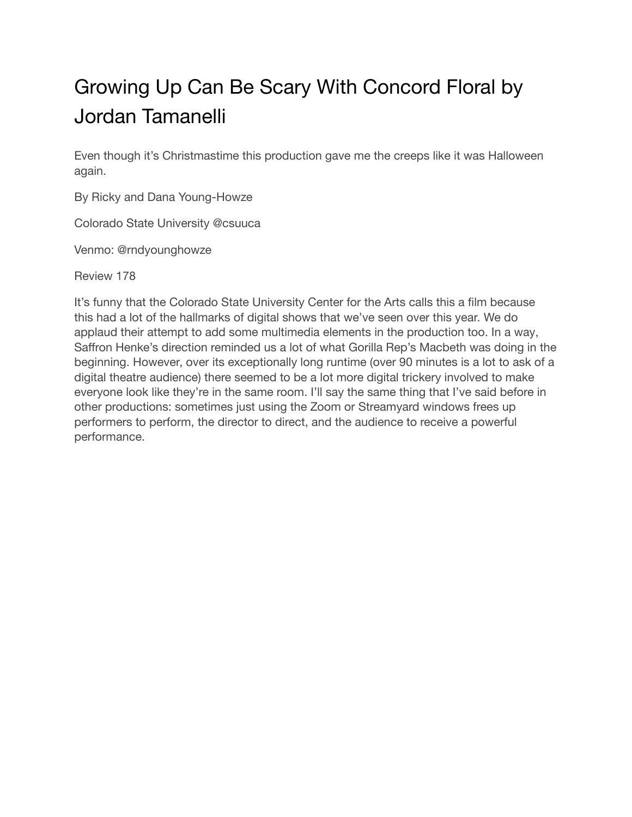## Growing Up Can Be Scary With Concord Floral by Jordan Tamanelli

Even though it's Christmastime this production gave me the creeps like it was Halloween again.

By Ricky and Dana Young-Howze

Colorado State University @csuuca

Venmo: @rndyounghowze

Review 178

It's funny that the Colorado State University Center for the Arts calls this a film because this had a lot of the hallmarks of digital shows that we've seen over this year. We do applaud their attempt to add some multimedia elements in the production too. In a way, Saffron Henke's direction reminded us a lot of what Gorilla Rep's Macbeth was doing in the beginning. However, over its exceptionally long runtime (over 90 minutes is a lot to ask of a digital theatre audience) there seemed to be a lot more digital trickery involved to make everyone look like they're in the same room. I'll say the same thing that I've said before in other productions: sometimes just using the Zoom or Streamyard windows frees up performers to perform, the director to direct, and the audience to receive a powerful performance.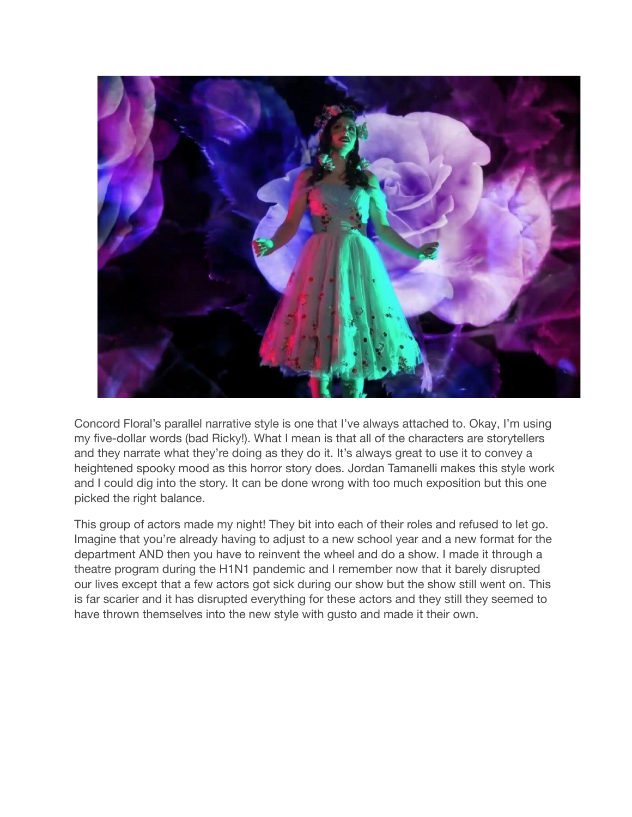

Concord Floral's parallel narrative style is one that I've always attached to. Okay, I'm using my five-dollar words (bad Ricky!). What I mean is that all of the characters are storytellers and they narrate what they're doing as they do it. It's always great to use it to convey a heightened spooky mood as this horror story does. Jordan Tamanelli makes this style work and I could dig into the story. It can be done wrong with too much exposition but this one picked the right balance.

This group of actors made my night! They bit into each of their roles and refused to let go. Imagine that you're already having to adjust to a new school year and a new format for the department AND then you have to reinvent the wheel and do a show. I made it through a theatre program during the H1N1 pandemic and I remember now that it barely disrupted our lives except that a few actors got sick during our show but the show still went on. This is far scarier and it has disrupted everything for these actors and they still they seemed to have thrown themselves into the new style with gusto and made it their own.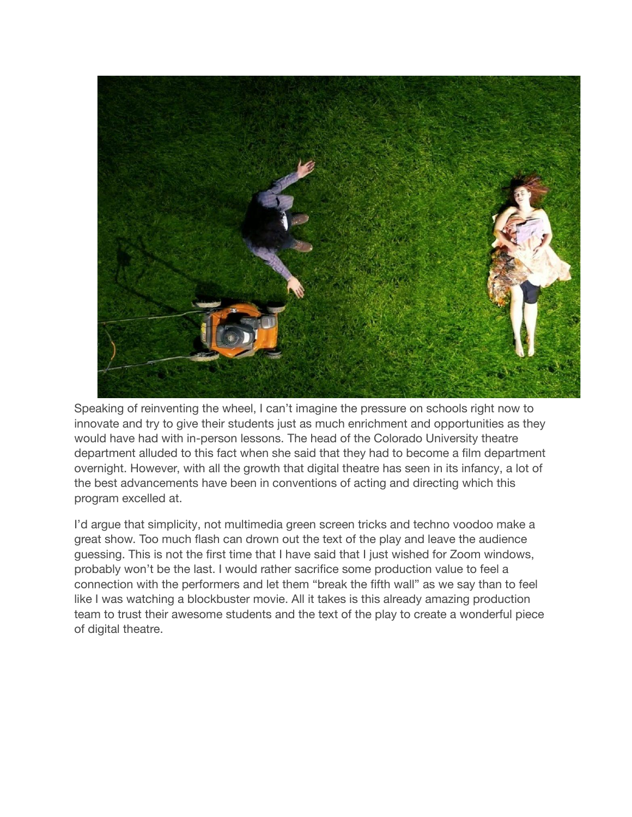

Speaking of reinventing the wheel, I can't imagine the pressure on schools right now to innovate and try to give their students just as much enrichment and opportunities as they would have had with in-person lessons. The head of the Colorado University theatre department alluded to this fact when she said that they had to become a film department overnight. However, with all the growth that digital theatre has seen in its infancy, a lot of the best advancements have been in conventions of acting and directing which this program excelled at.

I'd argue that simplicity, not multimedia green screen tricks and techno voodoo make a great show. Too much flash can drown out the text of the play and leave the audience guessing. This is not the first time that I have said that I just wished for Zoom windows, probably won't be the last. I would rather sacrifice some production value to feel a connection with the performers and let them "break the fifth wall" as we say than to feel like I was watching a blockbuster movie. All it takes is this already amazing production team to trust their awesome students and the text of the play to create a wonderful piece of digital theatre.